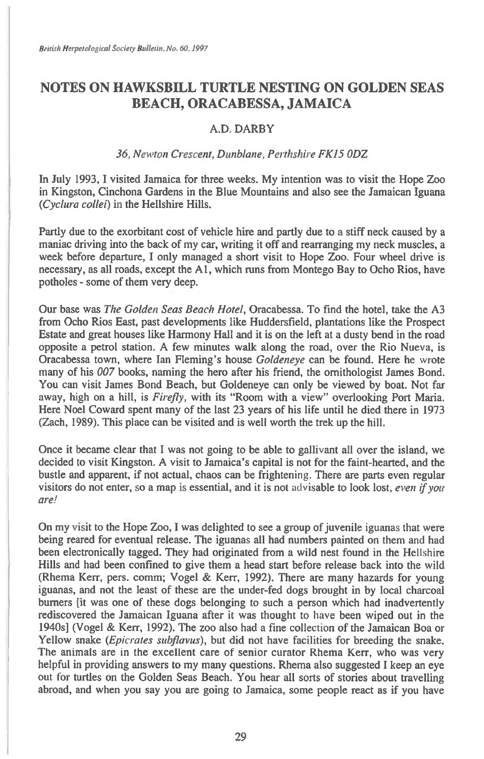## **NOTES ON HAWKSBILL TURTLE NESTING ON GOLDEN SEAS BEACH, ORACABESSA, JAMAICA**

## A.D. DARBY

## *36, Newton Crescent, Dunblane, Perthshire FKIS ODZ*

In July 1993, I visited Jamaica for three weeks. My intention was to visit the Hope Zoo in Kingston, Cinchona Gardens in the Blue Mountains and also see the Jamaican Iguana *(Cyclura collei)* in the Hellshire Hills.

Partly due to the exorbitant cost of vehicle hire and partly due to a stiff neck caused by a maniac driving into the back of my car, writing it off and rearranging my neck muscles, a week before departure, I only managed a short visit to Hope Zoo. Four wheel drive is necessary, as all roads, except the Al, which runs from Montego Bay to Ocho Rios, have potholes - some of them very deep.

Our base was *The Golden Seas Beach Hotel,* Oracabessa. To find the hotel, take the A3 from Ocho Rios East, past developments like Huddersfield, plantations like the Prospect Estate and great houses like Harmony Hall and it is on the left at a dusty bend in the road opposite a petrol station. A few minutes walk along the road, over the Rio Nueva, is Oracabessa town, where Ian Fleming's house *Goldeneye* can be found. Here he wrote many of his *007* books, naming the hero after his friend, the ornithologist James Bond. You can visit James Bond Beach, but Goldeneye can only be viewed by boat. Not far away, high on a hill, is *Firefly,* with its "Room with a view" overlooking Port Maria. Here Noel Coward spent many of the last 23 years of his life until he died there in 1973 (Zach, 1989). This place can be visited and is well worth the trek up the hill.

Once it became clear that I was not going to be able to gallivant all over the island, we decided to visit Kingston. A visit to Jamaica's capital is not for the faint-hearted, and the bustle and apparent, if not actual, chaos can be frightening. There are parts even regular visitors do not enter, so a map is essential, and it is not advisable to look lost, *even if you are'* 

On my visit to the Hope Zoo, I was delighted to see a group of juvenile iguanas that were being reared for eventual release. The iguanas all had numbers painted on them and had been electronically tagged. They had originated from a wild nest found in the Hellshire Hills and had been confined to give them a head start before release back into the wild (Rhema Kerr, pers. comm; Vogel & Kerr, 1992). There are many hazards for young iguanas, and not the least of these are the under-fed dogs brought in by local charcoal burners [it was one of these dogs belonging to such a person which had inadvertently rediscovered the Jamaican Iguana after it was thought to have been wiped out in the 1940s] (Vogel & Kerr, 1992). The zoo also had a fine collection of the Jamaican Boa or Yellow snake *(Epicrates subflavus),* but did not have facilities for breeding the snake. The animals are in the excellent care of senior curator Rhema Kerr, who was very helpful in providing answers to my many questions. Rhema also suggested I keep an eye out for turtles on the Golden Seas Beach. You hear all sorts of stories about travelling abroad, and when you say you are going to Jamaica, some people react as if you have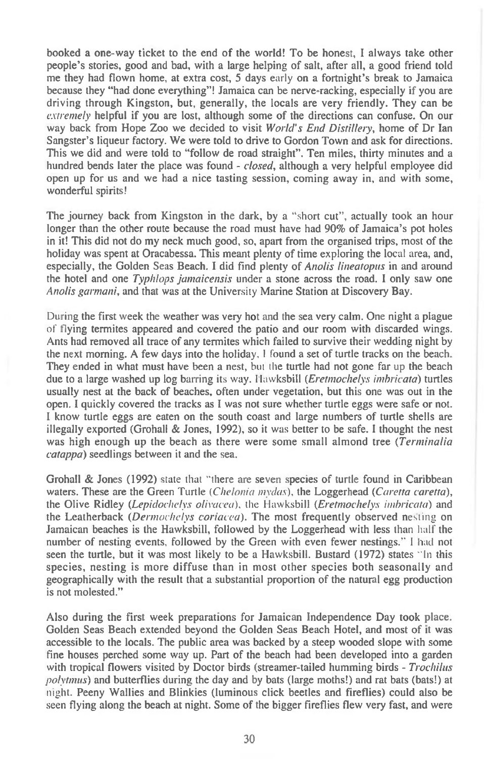**booked a one-way ticket to the end of the world! To be honest, I always take other people's stories, good and bad, with a large helping of salt, after all, a good friend told me they had flown home, at extra cost, 5 days** early on a **fortnight's break to Jamaica because they "had done everything"! Jamaica can be nerve-racking, especially if you are driving through Kingston, but, generally, the locals are very friendly. They can be**  extremely **helpful if you are lost, although some of the directions can confuse. On our way back from Hope Zoo we decided to visit** World's End Distillery, **home of Dr Ian Sangster's liqueur factory. We were told to drive to Gordon Town and ask for directions. This we did and were told to "follow de road straight". Ten miles, thirty minutes and a hundred bends later the place was found -** closed, **although a very helpful employee did open up for us and we had a nice tasting session, coming away in, and with some, wonderful spirits!** 

**The journey back from Kingston in the dark, by a "short cut", actually took an hour longer than the other route because the road must have had 90% of Jamaica's pot holes in it! This did not do my neck much good, so, apart from the organised trips, most of the holiday was spent at Oracabessa. This meant plenty of time exploring** the local area, and, especially, the Golden Seas Beach. I did find plenty of *Anolis lineatopus* in and around **the hotel and one** Typhlops jamaicensis under a stone across the road. **I only** saw one Anolis garmani, **and that was at the University Marine Station at Discovery Bay.** 

During the first week the weather was very hot and the sea very calm. One night a plague of **flying termites appeared and covered the patio and our room with discarded wings. Ants had removed all trace of any termites which failed to survive their wedding night by the next morning. A few days into the holiday.** I found a set **of turtle tracks on the beach. They ended in what must have been a nest, but the turtle had not gone far up the beach due to a large washed up log barring** its way. Hawksbill (Eretmochelys imbricata) **turtles usually nest at the back of beaches, often under vegetation, but this one was out in the open. I quickly covered the tracks as I was not sure whether turtle eggs were safe or not. I know turtle eggs are eaten on the south coast and large numbers of turtle shells are illegally exported (Grohall & Jones, 1992), so it** was **better to be safe. I thought the nest was high enough up the beach as there were some small almond tree** (Terminalia catappa) **seedlings between it and the sea.** 

**Grohall & Jones** (1992) state that "there are seven **species of turtle found in Caribbean waters. These are the Green Turtle** *(Chelonia inyda.\$),* **the Loggerhead** *(Caretta caretta),*  **the Olive Ridley** *(Lepidochelys olivacea),* the Hawksbill *(Eretmochelys imbricata)* **and**  the Leatherback (Dermochelys coriacea). The most frequently observed nesting on Jamaican beaches is the Hawksbill, followed by the Loggerhead with less than half the number of nesting events, followed by the Green with even fewer nestings." I had **not seen the turtle, but it was most likely to be a Hawksbill. Bustard (1972) states "In this species, nesting is more diffuse than in most other species both seasonally and geographically with the result that a substantial proportion of the natural egg production is not molested."** 

**Also during the first week preparations for Jamaican Independence Day took place. Golden Seas Beach extended beyond the Golden Seas Beach Hotel, and most of it was accessible to the locals. The public area was backed by a steep wooded slope with some fine houses perched some way up. Part of the beach had been developed into a garden**  with tropical flowers visited by Doctor birds (streamer-tailed humming birds - *Trochilus* polytmus) **and butterflies during the day and by bats (large moths!) and rat bats (bats!) at**  night. **Peeny Wallies and Blinkies (luminous click beetles and fireflies) could also be**  seen flying along the beach at night. Some of the bigger fireflies flew very fast, and were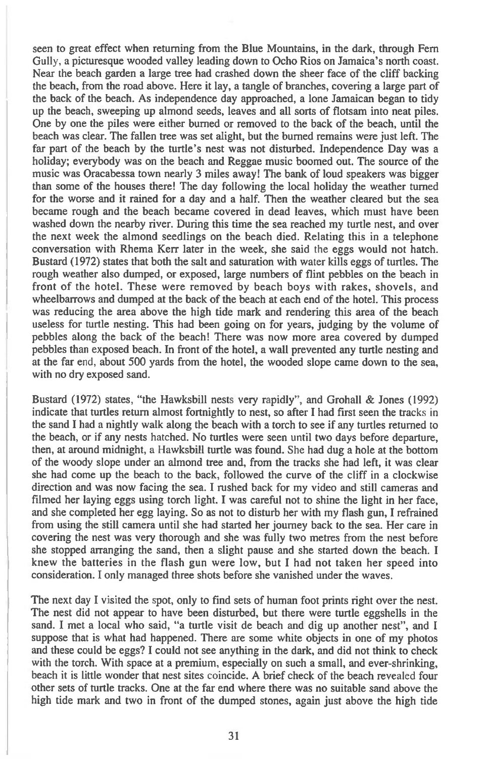seen to great effect when returning from the Blue Mountains, in the dark, through Fern Gully, a picturesque wooded valley leading down to Ocho Rios on Jamaica's north coast. Near the beach garden a large tree had crashed down the sheer face of the cliff backing the beach, from the road above. Here it lay, a tangle of branches, covering a large part of the back of the beach. As independence day approached, a lone Jamaican began to tidy up the beach, sweeping up almond seeds, leaves and all sorts of flotsam into neat piles. One by one the piles were either burned or removed to the back of the beach, until the beach was clear. The fallen tree was set alight, but the burned remains were just left. The far part of the beach by the turtle's nest was not disturbed. Independence Day was a holiday; everybody was on the beach and Reggae music boomed out. The source of the music was Oracabessa town nearly 3 miles away! The bank of loud speakers was bigger than some of the houses there! The day following the local holiday the weather turned for the worse and it rained for a day and a half. Then the weather cleared but the sea became rough and the beach became covered in dead leaves, which must have been washed down the nearby river. During this time the sea reached my turtle nest, and over the next week the almond seedlings on the beach died. Relating this in a telephone conversation with Rhema Kerr later in the week, she said the eggs would not hatch. Bustard (1972) states that both the salt and saturation with water kills eggs of turtles. The rough weather also dumped, or exposed, large numbers of flint pebbles on the beach in front of the hotel. These were removed by beach boys with rakes, shovels, and wheelbarrows and dumped at the back of the beach at each end of the hotel. This process was reducing the area above the high tide mark and rendering this area of the beach useless for turtle nesting. This had been going on for years, judging by the volume of pebbles along the back of the beach! There was now more area covered by dumped pebbles than exposed beach. In front of the hotel, a wall prevented any turtle nesting and at the far end, about 500 yards from the hotel, the wooded slope came down to the sea, with no dry exposed sand.

Bustard (1972) states, "the Hawksbill nests very rapidly", and Grohall & Jones (1992) indicate that turtles return almost fortnightly to nest, so after I had first seen the tracks in the sand I had a nightly walk along the beach with a torch to see if any turtles returned to the beach, or if any nests hatched. No turtles were seen until two days before departure, then, at around midnight, a Hawksbill turtle was found. She had dug a hole at the bottom of the woody slope under an almond tree and, from the tracks she had left, it was clear she had come up the beach to the back, followed the curve of the cliff in a clockwise direction and was now facing the sea. I rushed back for my video and still cameras and filmed her laying eggs using torch light. I was careful not to shine the light in her face, and she completed her egg laying. So as not to disturb her with my flash gun, I refrained from using the still camera until she had started her journey back to the sea. Her care in covering the nest was very thorough and she was fully two metres from the nest before she stopped arranging the sand, then a slight pause and she started down the beach. I knew the batteries in the flash gun were low, but I had not taken her speed into consideration. I only managed three shots before she vanished under the waves.

The next day I visited the spot, only to find sets of human foot prints right over the nest. The nest did not appear to have been disturbed, but there were turtle eggshells in the sand. I met a local who said, "a turtle visit de beach and dig up another nest", and I suppose that is what had happened. There are some white objects in one of my photos and these could be eggs? I could not see anything in the dark, and did not think to check with the torch. With space at a premium, especially on such a small, and ever-shrinking, beach it is little wonder that nest sites coincide. A brief check of the beach revealed four other sets of turtle tracks. One at the far end where there was no suitable sand above the high tide mark and two in front of the dumped stones, again just above the high tide